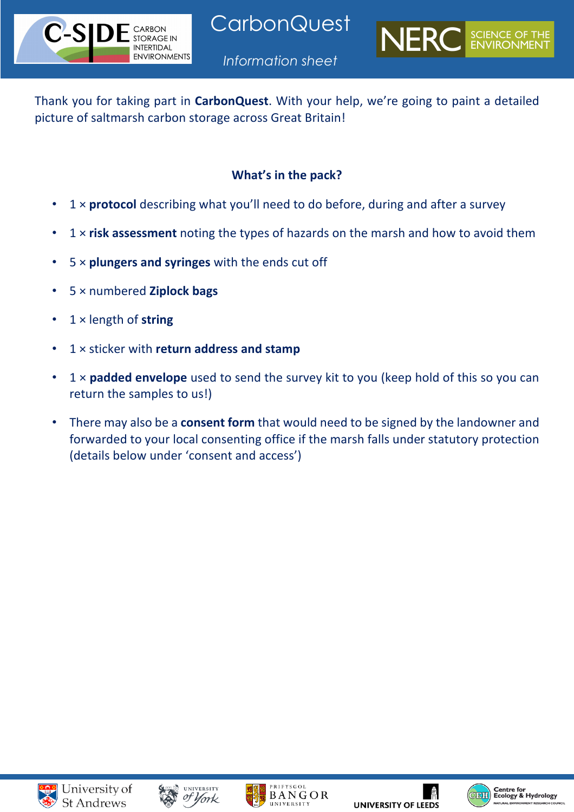

**CarbonQuest** 



*Information sheet*

Thank you for taking part in **CarbonQuest**. With your help, we're going to paint a detailed picture of saltmarsh carbon storage across Great Britain!

# **What's in the pack?**

- 1 × **protocol** describing what you'll need to do before, during and after a survey
- 1 × **risk assessment** noting the types of hazards on the marsh and how to avoid them
- 5 × **plungers and syringes** with the ends cut off
- 5 × numbered **Ziplock bags**
- 1 × length of **string**
- 1 × sticker with **return address and stamp**
- 1 × **padded envelope** used to send the survey kit to you (keep hold of this so you can return the samples to us!)
- There may also be a **consent form** that would need to be signed by the landowner and forwarded to your local consenting office if the marsh falls under statutory protection (details below under 'consent and access')









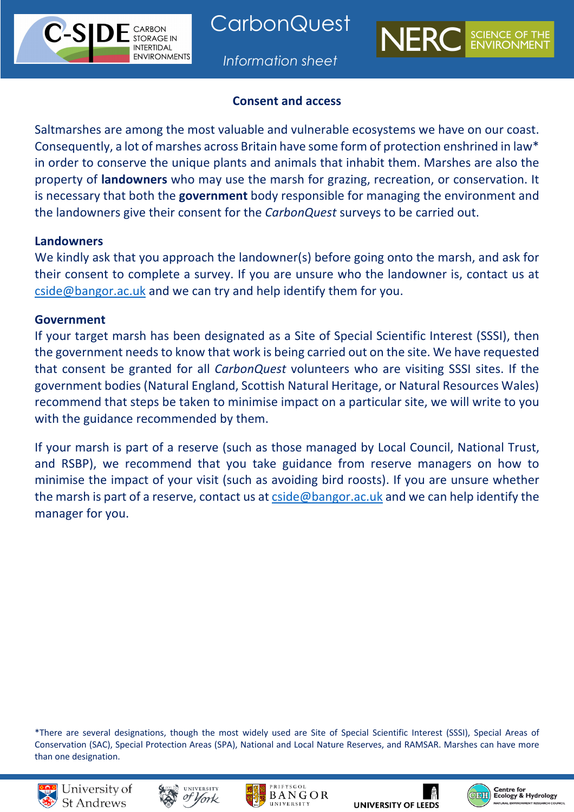



### **Consent and access**

Saltmarshes are among the most valuable and vulnerable ecosystems we have on our coast. Consequently, a lot of marshes across Britain have some form of protection enshrined in law\* in order to conserve the unique plants and animals that inhabit them. Marshes are also the property of **landowners** who may use the marsh for grazing, recreation, or conservation. It is necessary that both the **government** body responsible for managing the environment and the landowners give their consent for the *CarbonQuest* surveys to be carried out.

#### **Landowners**

CARBON **STORAGE IN INTERTIDAL ENVIRONMENTS** 

We kindly ask that you approach the landowner(s) before going onto the marsh, and ask for their consent to complete a survey. If you are unsure who the landowner is, contact us at cside@bangor.ac.uk and we can try and help identify them for you.

### **Government**

If your target marsh has been designated as a Site of Special Scientific Interest (SSSI), then the government needs to know that work is being carried out on the site. We have requested that consent be granted for all *CarbonQuest* volunteers who are visiting SSSI sites. If the government bodies (Natural England, Scottish Natural Heritage, or Natural Resources Wales) recommend that steps be taken to minimise impact on a particular site, we will write to you with the guidance recommended by them.

If your marsh is part of a reserve (such as those managed by Local Council, National Trust, and RSBP), we recommend that you take guidance from reserve managers on how to minimise the impact of your visit (such as avoiding bird roosts). If you are unsure whether the marsh is part of a reserve, contact us at cside@bangor.ac.uk and we can help identify the manager for you.

\*There are several designations, though the most widely used are Site of Special Scientific Interest (SSSI), Special Areas of Conservation (SAC), Special Protection Areas (SPA), National and Local Nature Reserves, and RAMSAR. Marshes can have more than one designation.











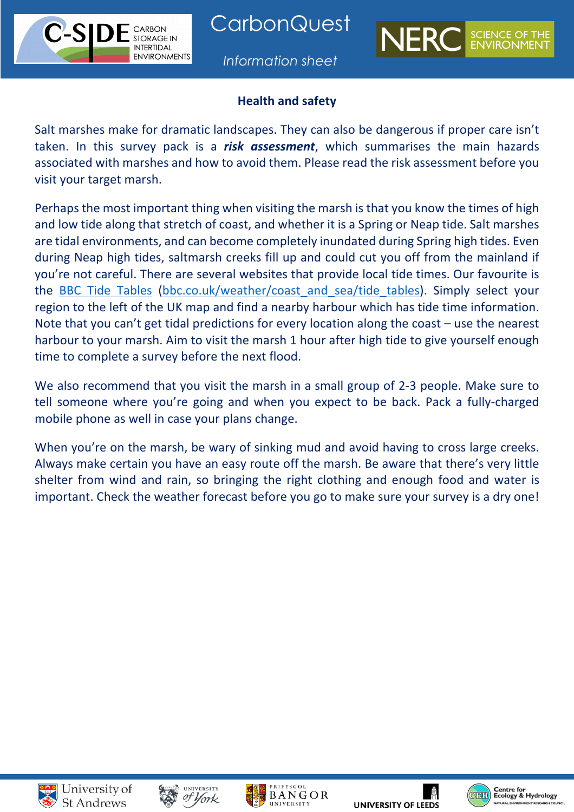**CarbonQuest** 

**STORAGE IN INTERTIDAL ENVIRONMENTS** 





### **Health and safety**

Salt marshes make for dramatic landscapes. They can also be dangerous if proper care isn't taken. In this survey pack is a *risk assessment*, which summarises the main hazards associated with marshes and how to avoid them. Please read the risk assessment before you visit your target marsh.

Perhaps the most important thing when visiting the marsh is that you know the times of high and low tide along that stretch of coast, and whether it is a Spring or Neap tide. Salt marshes are tidal environments, and can become completely inundated during Spring high tides. Even during Neap high tides, saltmarsh creeks fill up and could cut you off from the mainland if you're not careful. There are several websites that provide local tide times. Our favourite is the BBC Tide Tables (bbc.co.uk/weather/coast\_and\_sea/tide\_tables). Simply select your region to the left of the UK map and find a nearby harbour which has tide time information. Note that you can't get tidal predictions for every location along the coast – use the nearest harbour to your marsh. Aim to visit the marsh 1 hour after high tide to give yourself enough time to complete a survey before the next flood.

We also recommend that you visit the marsh in a small group of 2-3 people. Make sure to tell someone where you're going and when you expect to be back. Pack a fully-charged mobile phone as well in case your plans change.

When you're on the marsh, be wary of sinking mud and avoid having to cross large creeks. Always make certain you have an easy route off the marsh. Be aware that there's very little shelter from wind and rain, so bringing the right clothing and enough food and water is important. Check the weather forecast before you go to make sure your survey is a dry one!